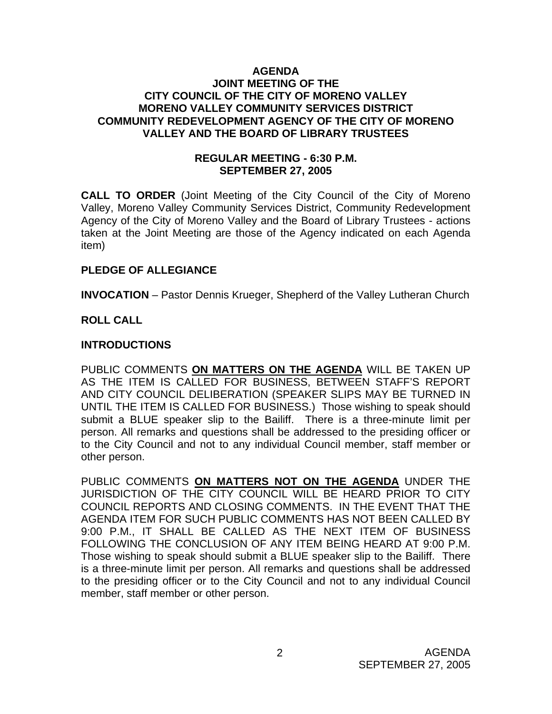### **AGENDA JOINT MEETING OF THE CITY COUNCIL OF THE CITY OF MORENO VALLEY MORENO VALLEY COMMUNITY SERVICES DISTRICT COMMUNITY REDEVELOPMENT AGENCY OF THE CITY OF MORENO VALLEY AND THE BOARD OF LIBRARY TRUSTEES**

### **REGULAR MEETING - 6:30 P.M. SEPTEMBER 27, 2005**

**CALL TO ORDER** (Joint Meeting of the City Council of the City of Moreno Valley, Moreno Valley Community Services District, Community Redevelopment Agency of the City of Moreno Valley and the Board of Library Trustees - actions taken at the Joint Meeting are those of the Agency indicated on each Agenda item)

### **PLEDGE OF ALLEGIANCE**

**INVOCATION** – Pastor Dennis Krueger, Shepherd of the Valley Lutheran Church

# **ROLL CALL**

### **INTRODUCTIONS**

PUBLIC COMMENTS **ON MATTERS ON THE AGENDA** WILL BE TAKEN UP AS THE ITEM IS CALLED FOR BUSINESS, BETWEEN STAFF'S REPORT AND CITY COUNCIL DELIBERATION (SPEAKER SLIPS MAY BE TURNED IN UNTIL THE ITEM IS CALLED FOR BUSINESS.) Those wishing to speak should submit a BLUE speaker slip to the Bailiff. There is a three-minute limit per person. All remarks and questions shall be addressed to the presiding officer or to the City Council and not to any individual Council member, staff member or other person.

PUBLIC COMMENTS **ON MATTERS NOT ON THE AGENDA** UNDER THE JURISDICTION OF THE CITY COUNCIL WILL BE HEARD PRIOR TO CITY COUNCIL REPORTS AND CLOSING COMMENTS. IN THE EVENT THAT THE AGENDA ITEM FOR SUCH PUBLIC COMMENTS HAS NOT BEEN CALLED BY 9:00 P.M., IT SHALL BE CALLED AS THE NEXT ITEM OF BUSINESS FOLLOWING THE CONCLUSION OF ANY ITEM BEING HEARD AT 9:00 P.M. Those wishing to speak should submit a BLUE speaker slip to the Bailiff. There is a three-minute limit per person. All remarks and questions shall be addressed to the presiding officer or to the City Council and not to any individual Council member, staff member or other person.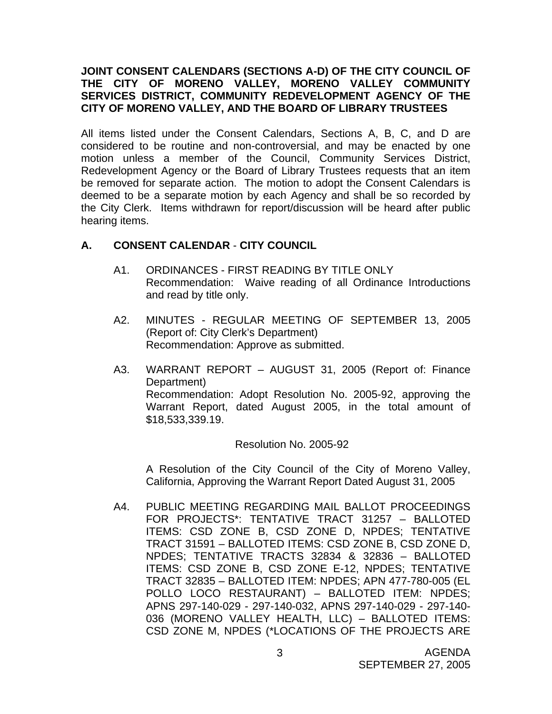### **JOINT CONSENT CALENDARS (SECTIONS A-D) OF THE CITY COUNCIL OF THE CITY OF MORENO VALLEY, MORENO VALLEY COMMUNITY SERVICES DISTRICT, COMMUNITY REDEVELOPMENT AGENCY OF THE CITY OF MORENO VALLEY, AND THE BOARD OF LIBRARY TRUSTEES**

All items listed under the Consent Calendars, Sections A, B, C, and D are considered to be routine and non-controversial, and may be enacted by one motion unless a member of the Council, Community Services District, Redevelopment Agency or the Board of Library Trustees requests that an item be removed for separate action. The motion to adopt the Consent Calendars is deemed to be a separate motion by each Agency and shall be so recorded by the City Clerk. Items withdrawn for report/discussion will be heard after public hearing items.

## **A. CONSENT CALENDAR** - **CITY COUNCIL**

- A1. ORDINANCES FIRST READING BY TITLE ONLY Recommendation: Waive reading of all Ordinance Introductions and read by title only.
- A2. MINUTES REGULAR MEETING OF SEPTEMBER 13, 2005 (Report of: City Clerk's Department) Recommendation: Approve as submitted.
- A3. WARRANT REPORT AUGUST 31, 2005 (Report of: Finance Department) Recommendation: Adopt Resolution No. 2005-92, approving the Warrant Report, dated August 2005, in the total amount of \$18,533,339.19.

### Resolution No. 2005-92

 A Resolution of the City Council of the City of Moreno Valley, California, Approving the Warrant Report Dated August 31, 2005

A4. PUBLIC MEETING REGARDING MAIL BALLOT PROCEEDINGS FOR PROJECTS\*: TENTATIVE TRACT 31257 – BALLOTED ITEMS: CSD ZONE B, CSD ZONE D, NPDES; TENTATIVE TRACT 31591 – BALLOTED ITEMS: CSD ZONE B, CSD ZONE D, NPDES; TENTATIVE TRACTS 32834 & 32836 – BALLOTED ITEMS: CSD ZONE B, CSD ZONE E-12, NPDES; TENTATIVE TRACT 32835 – BALLOTED ITEM: NPDES; APN 477-780-005 (EL POLLO LOCO RESTAURANT) – BALLOTED ITEM: NPDES; APNS 297-140-029 - 297-140-032, APNS 297-140-029 - 297-140- 036 (MORENO VALLEY HEALTH, LLC) – BALLOTED ITEMS: CSD ZONE M, NPDES (\*LOCATIONS OF THE PROJECTS ARE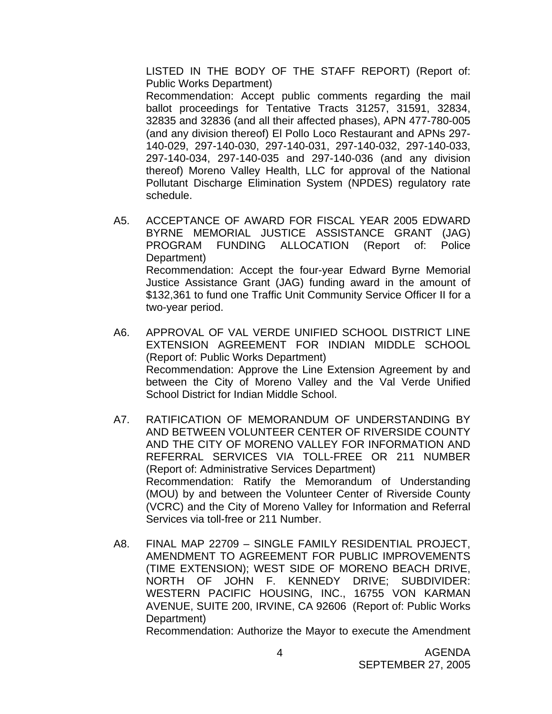LISTED IN THE BODY OF THE STAFF REPORT) (Report of: Public Works Department) Recommendation: Accept public comments regarding the mail ballot proceedings for Tentative Tracts 31257, 31591, 32834, 32835 and 32836 (and all their affected phases), APN 477-780-005 (and any division thereof) El Pollo Loco Restaurant and APNs 297- 140-029, 297-140-030, 297-140-031, 297-140-032, 297-140-033, 297-140-034, 297-140-035 and 297-140-036 (and any division thereof) Moreno Valley Health, LLC for approval of the National Pollutant Discharge Elimination System (NPDES) regulatory rate schedule.

- A5. ACCEPTANCE OF AWARD FOR FISCAL YEAR 2005 EDWARD BYRNE MEMORIAL JUSTICE ASSISTANCE GRANT (JAG) PROGRAM FUNDING ALLOCATION (Report of: Police Department) Recommendation: Accept the four-year Edward Byrne Memorial Justice Assistance Grant (JAG) funding award in the amount of \$132,361 to fund one Traffic Unit Community Service Officer II for a two-year period.
- A6. APPROVAL OF VAL VERDE UNIFIED SCHOOL DISTRICT LINE EXTENSION AGREEMENT FOR INDIAN MIDDLE SCHOOL (Report of: Public Works Department) Recommendation: Approve the Line Extension Agreement by and between the City of Moreno Valley and the Val Verde Unified School District for Indian Middle School.
- A7. RATIFICATION OF MEMORANDUM OF UNDERSTANDING BY AND BETWEEN VOLUNTEER CENTER OF RIVERSIDE COUNTY AND THE CITY OF MORENO VALLEY FOR INFORMATION AND REFERRAL SERVICES VIA TOLL-FREE OR 211 NUMBER (Report of: Administrative Services Department) Recommendation: Ratify the Memorandum of Understanding (MOU) by and between the Volunteer Center of Riverside County (VCRC) and the City of Moreno Valley for Information and Referral Services via toll-free or 211 Number.
- A8. FINAL MAP 22709 SINGLE FAMILY RESIDENTIAL PROJECT, AMENDMENT TO AGREEMENT FOR PUBLIC IMPROVEMENTS (TIME EXTENSION); WEST SIDE OF MORENO BEACH DRIVE, NORTH OF JOHN F. KENNEDY DRIVE; SUBDIVIDER: WESTERN PACIFIC HOUSING, INC., 16755 VON KARMAN AVENUE, SUITE 200, IRVINE, CA 92606 (Report of: Public Works Department)

Recommendation: Authorize the Mayor to execute the Amendment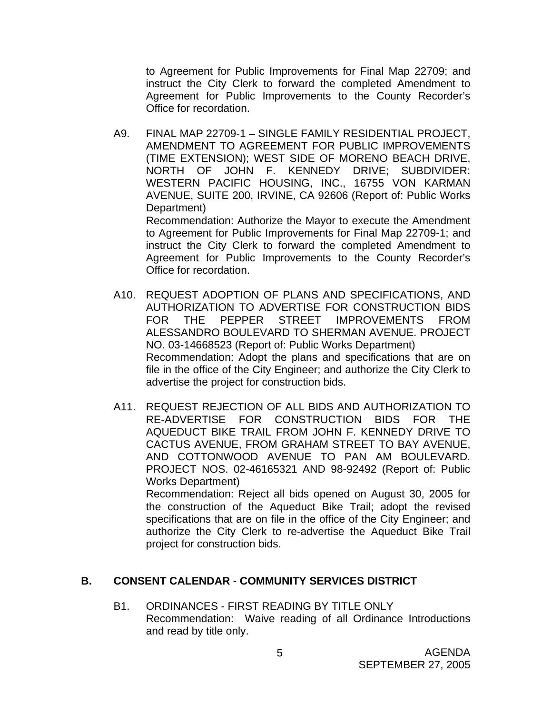to Agreement for Public Improvements for Final Map 22709; and instruct the City Clerk to forward the completed Amendment to Agreement for Public Improvements to the County Recorder's Office for recordation.

A9. FINAL MAP 22709-1 – SINGLE FAMILY RESIDENTIAL PROJECT, AMENDMENT TO AGREEMENT FOR PUBLIC IMPROVEMENTS (TIME EXTENSION); WEST SIDE OF MORENO BEACH DRIVE, NORTH OF JOHN F. KENNEDY DRIVE; SUBDIVIDER: WESTERN PACIFIC HOUSING, INC., 16755 VON KARMAN AVENUE, SUITE 200, IRVINE, CA 92606 (Report of: Public Works Department) Recommendation: Authorize the Mayor to execute the Amendment to Agreement for Public Improvements for Final Map 22709-1; and

instruct the City Clerk to forward the completed Amendment to Agreement for Public Improvements to the County Recorder's Office for recordation.

- A10. REQUEST ADOPTION OF PLANS AND SPECIFICATIONS, AND AUTHORIZATION TO ADVERTISE FOR CONSTRUCTION BIDS FOR THE PEPPER STREET IMPROVEMENTS FROM ALESSANDRO BOULEVARD TO SHERMAN AVENUE. PROJECT NO. 03-14668523 (Report of: Public Works Department) Recommendation: Adopt the plans and specifications that are on file in the office of the City Engineer; and authorize the City Clerk to advertise the project for construction bids.
- A11. REQUEST REJECTION OF ALL BIDS AND AUTHORIZATION TO RE-ADVERTISE FOR CONSTRUCTION BIDS FOR THE AQUEDUCT BIKE TRAIL FROM JOHN F. KENNEDY DRIVE TO CACTUS AVENUE, FROM GRAHAM STREET TO BAY AVENUE, AND COTTONWOOD AVENUE TO PAN AM BOULEVARD. PROJECT NOS. 02-46165321 AND 98-92492 (Report of: Public Works Department)

 Recommendation: Reject all bids opened on August 30, 2005 for the construction of the Aqueduct Bike Trail; adopt the revised specifications that are on file in the office of the City Engineer; and authorize the City Clerk to re-advertise the Aqueduct Bike Trail project for construction bids.

### **B. CONSENT CALENDAR** - **COMMUNITY SERVICES DISTRICT**

B1. ORDINANCES - FIRST READING BY TITLE ONLY Recommendation: Waive reading of all Ordinance Introductions and read by title only.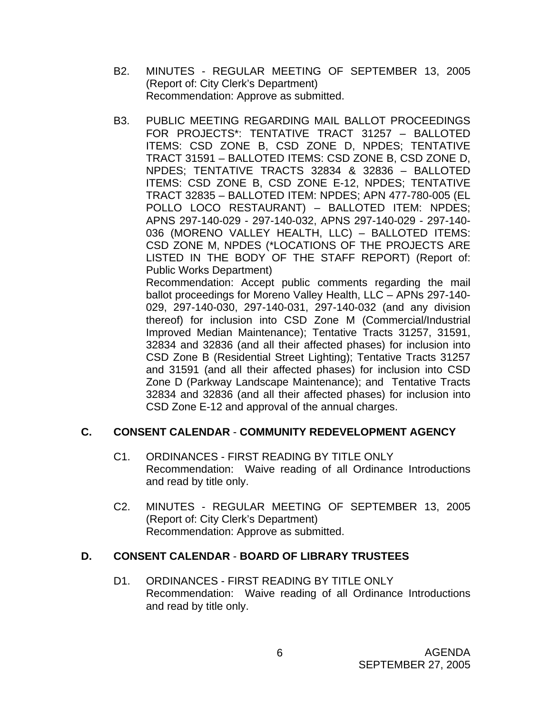- B2. MINUTES REGULAR MEETING OF SEPTEMBER 13, 2005 (Report of: City Clerk's Department) Recommendation: Approve as submitted.
- B3. PUBLIC MEETING REGARDING MAIL BALLOT PROCEEDINGS FOR PROJECTS\*: TENTATIVE TRACT 31257 – BALLOTED ITEMS: CSD ZONE B, CSD ZONE D, NPDES; TENTATIVE TRACT 31591 – BALLOTED ITEMS: CSD ZONE B, CSD ZONE D, NPDES; TENTATIVE TRACTS 32834 & 32836 – BALLOTED ITEMS: CSD ZONE B, CSD ZONE E-12, NPDES; TENTATIVE TRACT 32835 – BALLOTED ITEM: NPDES; APN 477-780-005 (EL POLLO LOCO RESTAURANT) – BALLOTED ITEM: NPDES; APNS 297-140-029 - 297-140-032, APNS 297-140-029 - 297-140- 036 (MORENO VALLEY HEALTH, LLC) – BALLOTED ITEMS: CSD ZONE M, NPDES (\*LOCATIONS OF THE PROJECTS ARE LISTED IN THE BODY OF THE STAFF REPORT) (Report of: Public Works Department)

 Recommendation: Accept public comments regarding the mail ballot proceedings for Moreno Valley Health, LLC – APNs 297-140- 029, 297-140-030, 297-140-031, 297-140-032 (and any division thereof) for inclusion into CSD Zone M (Commercial/Industrial Improved Median Maintenance); Tentative Tracts 31257, 31591, 32834 and 32836 (and all their affected phases) for inclusion into CSD Zone B (Residential Street Lighting); Tentative Tracts 31257 and 31591 (and all their affected phases) for inclusion into CSD Zone D (Parkway Landscape Maintenance); and Tentative Tracts 32834 and 32836 (and all their affected phases) for inclusion into CSD Zone E-12 and approval of the annual charges.

# **C. CONSENT CALENDAR** - **COMMUNITY REDEVELOPMENT AGENCY**

- C1. ORDINANCES FIRST READING BY TITLE ONLY Recommendation: Waive reading of all Ordinance Introductions and read by title only.
- C2. MINUTES REGULAR MEETING OF SEPTEMBER 13, 2005 (Report of: City Clerk's Department) Recommendation: Approve as submitted.

# **D. CONSENT CALENDAR** - **BOARD OF LIBRARY TRUSTEES**

D1. ORDINANCES - FIRST READING BY TITLE ONLY Recommendation: Waive reading of all Ordinance Introductions and read by title only.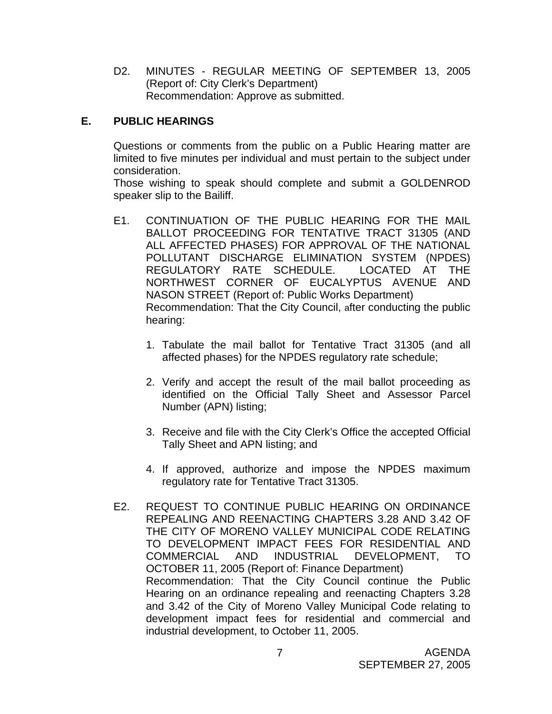D2. MINUTES - REGULAR MEETING OF SEPTEMBER 13, 2005 (Report of: City Clerk's Department) Recommendation: Approve as submitted.

# **E. PUBLIC HEARINGS**

Questions or comments from the public on a Public Hearing matter are limited to five minutes per individual and must pertain to the subject under consideration.

 Those wishing to speak should complete and submit a GOLDENROD speaker slip to the Bailiff.

- E1. CONTINUATION OF THE PUBLIC HEARING FOR THE MAIL BALLOT PROCEEDING FOR TENTATIVE TRACT 31305 (AND ALL AFFECTED PHASES) FOR APPROVAL OF THE NATIONAL POLLUTANT DISCHARGE ELIMINATION SYSTEM (NPDES) REGULATORY RATE SCHEDULE. LOCATED AT THE NORTHWEST CORNER OF EUCALYPTUS AVENUE AND NASON STREET (Report of: Public Works Department) Recommendation: That the City Council, after conducting the public hearing:
	- 1. Tabulate the mail ballot for Tentative Tract 31305 (and all affected phases) for the NPDES regulatory rate schedule;
	- 2. Verify and accept the result of the mail ballot proceeding as identified on the Official Tally Sheet and Assessor Parcel Number (APN) listing;
	- 3. Receive and file with the City Clerk's Office the accepted Official Tally Sheet and APN listing; and
	- 4. If approved, authorize and impose the NPDES maximum regulatory rate for Tentative Tract 31305.
- E2. REQUEST TO CONTINUE PUBLIC HEARING ON ORDINANCE REPEALING AND REENACTING CHAPTERS 3.28 AND 3.42 OF THE CITY OF MORENO VALLEY MUNICIPAL CODE RELATING TO DEVELOPMENT IMPACT FEES FOR RESIDENTIAL AND COMMERCIAL AND INDUSTRIAL DEVELOPMENT, TO OCTOBER 11, 2005 (Report of: Finance Department) Recommendation: That the City Council continue the Public Hearing on an ordinance repealing and reenacting Chapters 3.28 and 3.42 of the City of Moreno Valley Municipal Code relating to development impact fees for residential and commercial and industrial development, to October 11, 2005.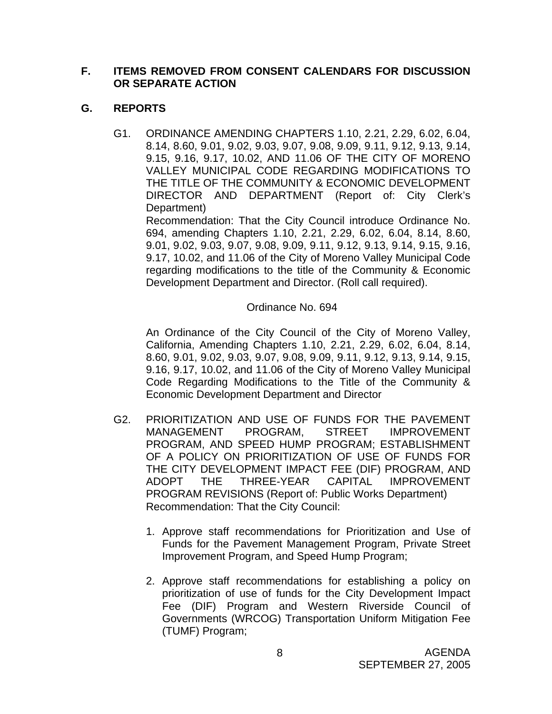## **F. ITEMS REMOVED FROM CONSENT CALENDARS FOR DISCUSSION OR SEPARATE ACTION**

# **G. REPORTS**

G1. ORDINANCE AMENDING CHAPTERS 1.10, 2.21, 2.29, 6.02, 6.04, 8.14, 8.60, 9.01, 9.02, 9.03, 9.07, 9.08, 9.09, 9.11, 9.12, 9.13, 9.14, 9.15, 9.16, 9.17, 10.02, AND 11.06 OF THE CITY OF MORENO VALLEY MUNICIPAL CODE REGARDING MODIFICATIONS TO THE TITLE OF THE COMMUNITY & ECONOMIC DEVELOPMENT DIRECTOR AND DEPARTMENT (Report of: City Clerk's Department)

 Recommendation: That the City Council introduce Ordinance No. 694, amending Chapters 1.10, 2.21, 2.29, 6.02, 6.04, 8.14, 8.60, 9.01, 9.02, 9.03, 9.07, 9.08, 9.09, 9.11, 9.12, 9.13, 9.14, 9.15, 9.16, 9.17, 10.02, and 11.06 of the City of Moreno Valley Municipal Code regarding modifications to the title of the Community & Economic Development Department and Director. (Roll call required).

# Ordinance No. 694

 An Ordinance of the City Council of the City of Moreno Valley, California, Amending Chapters 1.10, 2.21, 2.29, 6.02, 6.04, 8.14, 8.60, 9.01, 9.02, 9.03, 9.07, 9.08, 9.09, 9.11, 9.12, 9.13, 9.14, 9.15, 9.16, 9.17, 10.02, and 11.06 of the City of Moreno Valley Municipal Code Regarding Modifications to the Title of the Community & Economic Development Department and Director

- G2. PRIORITIZATION AND USE OF FUNDS FOR THE PAVEMENT MANAGEMENT PROGRAM, STREET IMPROVEMENT PROGRAM, AND SPEED HUMP PROGRAM; ESTABLISHMENT OF A POLICY ON PRIORITIZATION OF USE OF FUNDS FOR THE CITY DEVELOPMENT IMPACT FEE (DIF) PROGRAM, AND ADOPT THE THREE-YEAR CAPITAL IMPROVEMENT PROGRAM REVISIONS (Report of: Public Works Department) Recommendation: That the City Council:
	- 1. Approve staff recommendations for Prioritization and Use of Funds for the Pavement Management Program, Private Street Improvement Program, and Speed Hump Program;
	- 2. Approve staff recommendations for establishing a policy on prioritization of use of funds for the City Development Impact Fee (DIF) Program and Western Riverside Council of Governments (WRCOG) Transportation Uniform Mitigation Fee (TUMF) Program;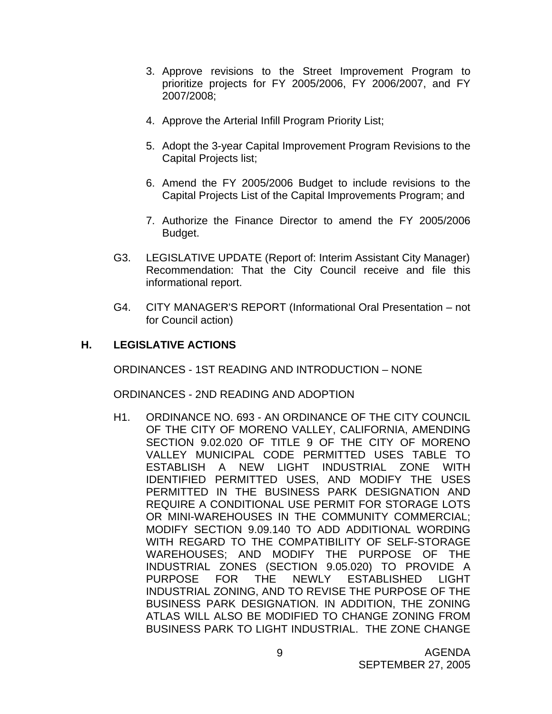- 3. Approve revisions to the Street Improvement Program to prioritize projects for FY 2005/2006, FY 2006/2007, and FY 2007/2008;
- 4. Approve the Arterial Infill Program Priority List;
- 5. Adopt the 3-year Capital Improvement Program Revisions to the Capital Projects list;
- 6. Amend the FY 2005/2006 Budget to include revisions to the Capital Projects List of the Capital Improvements Program; and
- 7. Authorize the Finance Director to amend the FY 2005/2006 Budget.
- G3. LEGISLATIVE UPDATE (Report of: Interim Assistant City Manager) Recommendation: That the City Council receive and file this informational report.
- G4. CITY MANAGER'S REPORT (Informational Oral Presentation not for Council action)

## **H. LEGISLATIVE ACTIONS**

ORDINANCES - 1ST READING AND INTRODUCTION – NONE

ORDINANCES - 2ND READING AND ADOPTION

H1. ORDINANCE NO. 693 - AN ORDINANCE OF THE CITY COUNCIL OF THE CITY OF MORENO VALLEY, CALIFORNIA, AMENDING SECTION 9.02.020 OF TITLE 9 OF THE CITY OF MORENO VALLEY MUNICIPAL CODE PERMITTED USES TABLE TO ESTABLISH A NEW LIGHT INDUSTRIAL ZONE WITH IDENTIFIED PERMITTED USES, AND MODIFY THE USES PERMITTED IN THE BUSINESS PARK DESIGNATION AND REQUIRE A CONDITIONAL USE PERMIT FOR STORAGE LOTS OR MINI-WAREHOUSES IN THE COMMUNITY COMMERCIAL; MODIFY SECTION 9.09.140 TO ADD ADDITIONAL WORDING WITH REGARD TO THE COMPATIBILITY OF SELF-STORAGE WAREHOUSES; AND MODIFY THE PURPOSE OF THE INDUSTRIAL ZONES (SECTION 9.05.020) TO PROVIDE A PURPOSE FOR THE NEWLY ESTABLISHED LIGHT INDUSTRIAL ZONING, AND TO REVISE THE PURPOSE OF THE BUSINESS PARK DESIGNATION. IN ADDITION, THE ZONING ATLAS WILL ALSO BE MODIFIED TO CHANGE ZONING FROM BUSINESS PARK TO LIGHT INDUSTRIAL. THE ZONE CHANGE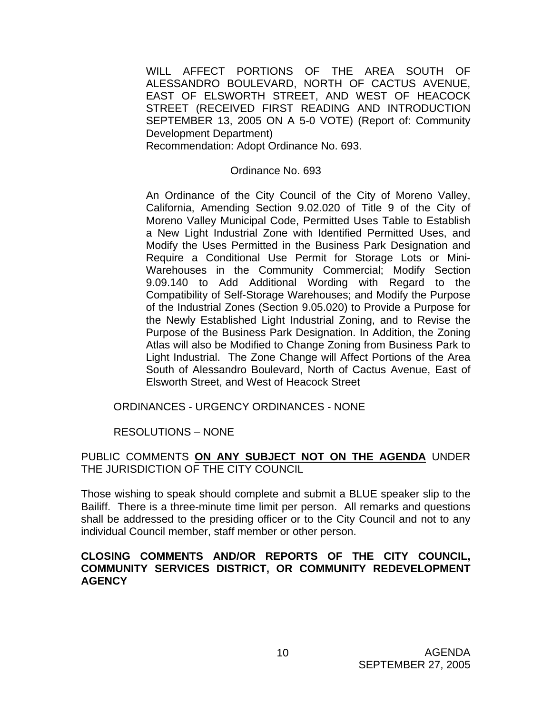WILL AFFECT PORTIONS OF THE AREA SOUTH OF ALESSANDRO BOULEVARD, NORTH OF CACTUS AVENUE, EAST OF ELSWORTH STREET, AND WEST OF HEACOCK STREET (RECEIVED FIRST READING AND INTRODUCTION SEPTEMBER 13, 2005 ON A 5-0 VOTE) (Report of: Community Development Department)

Recommendation: Adopt Ordinance No. 693.

#### Ordinance No. 693

 An Ordinance of the City Council of the City of Moreno Valley, California, Amending Section 9.02.020 of Title 9 of the City of Moreno Valley Municipal Code, Permitted Uses Table to Establish a New Light Industrial Zone with Identified Permitted Uses, and Modify the Uses Permitted in the Business Park Designation and Require a Conditional Use Permit for Storage Lots or Mini-Warehouses in the Community Commercial; Modify Section 9.09.140 to Add Additional Wording with Regard to the Compatibility of Self-Storage Warehouses; and Modify the Purpose of the Industrial Zones (Section 9.05.020) to Provide a Purpose for the Newly Established Light Industrial Zoning, and to Revise the Purpose of the Business Park Designation. In Addition, the Zoning Atlas will also be Modified to Change Zoning from Business Park to Light Industrial. The Zone Change will Affect Portions of the Area South of Alessandro Boulevard, North of Cactus Avenue, East of Elsworth Street, and West of Heacock Street

#### ORDINANCES - URGENCY ORDINANCES - NONE

### RESOLUTIONS – NONE

### PUBLIC COMMENTS **ON ANY SUBJECT NOT ON THE AGENDA** UNDER THE JURISDICTION OF THE CITY COUNCIL

Those wishing to speak should complete and submit a BLUE speaker slip to the Bailiff. There is a three-minute time limit per person. All remarks and questions shall be addressed to the presiding officer or to the City Council and not to any individual Council member, staff member or other person.

### **CLOSING COMMENTS AND/OR REPORTS OF THE CITY COUNCIL, COMMUNITY SERVICES DISTRICT, OR COMMUNITY REDEVELOPMENT AGENCY**